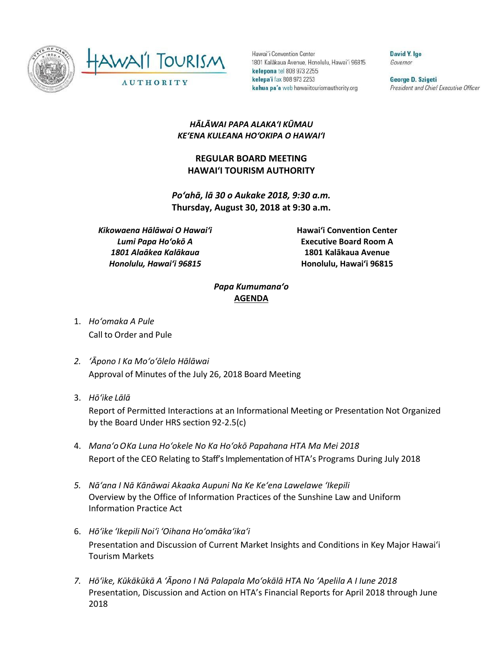



Hawai'i Convention Center 1801 Kalākaua Avenue, Honolulu, Hawai'i 96815 kelepona tel 808 973 2255 kelepa'i fax 808 973 2253 kahua pa'a web hawaiitourismauthority.org

David Y. Ige Governor

George D. Szigeti President and Chief Executive Officer

## *HĀLĀWAI PAPA ALAKAʻI KŪMAU KEʻENA KULEANA HOʻOKIPA O HAWAIʻI*

## **REGULAR BOARD MEETING HAWAI'I TOURISM AUTHORITY**

*Poʻahā, lā 30 o Aukake 2018, 9:30 a.m.* **Thursday, August 30, 2018 at 9:30 a.m.**

*Kikowaena Hālāwai O Hawaiʻi Lumi Papa Hoʻokō A 1801 Alaākea Kalākaua Honolulu, Hawaiʻi 96815*

**Hawai'i Convention Center Executive Board Room A 1801 Kalākaua Avenue Honolulu, Hawai'i 96815**

## *Papa Kumumanaʻo* **AGENDA**

- 1. *Ho'omaka A Pule* Call to Order and Pule
- *2. ʻĀpono I Ka Moʻoʻōlelo Hālāwai* Approval of Minutes of the July 26, 2018 Board Meeting
- 3. *Hō'ike Lālā*

Report of Permitted Interactions at an Informational Meeting or Presentation Not Organized by the Board Under HRS section 92-2.5(c)

- 4. *Mana'oOKa Luna Hoʻokele No Ka Hoʻokō Papahana HTA Ma Mei 2018* Report of the CEO Relating to Staff's Implementation of HTA's Programs During July 2018
- *5. Nāʻana I Nā Kānāwai Akaaka Aupuni Na Ke Keʻena Lawelawe ʻIkepili* Overview by the Office of Information Practices of the Sunshine Law and Uniform Information Practice Act
- 6. *Hō'ike 'Ikepili Noi'i 'Oihana Ho'omāka'ika'i* Presentation and Discussion of Current Market Insights and Conditions in Key Major Hawai'i Tourism Markets
- *7. Hōʻike, Kūkākūkā A ʻĀpono I Nā Palapala Moʻokālā HTA No ʻApelila A I Iune 2018* Presentation, Discussion and Action on HTA's Financial Reports for April 2018 through June 2018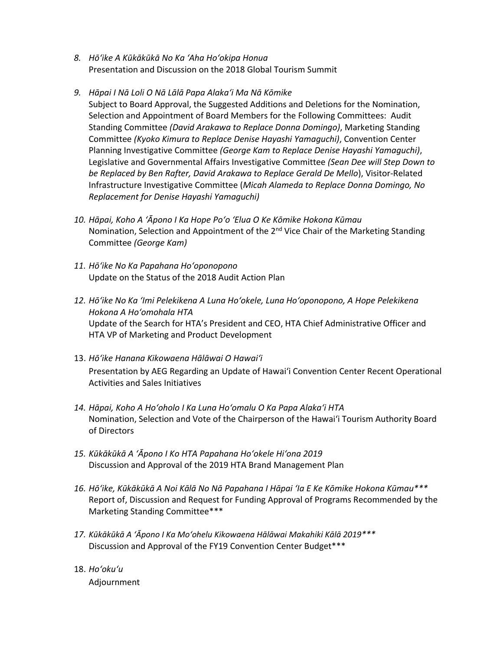- *8. Hōʻike A Kūkākūkā No Ka ʻAha Hoʻokipa Honua* Presentation and Discussion on the 2018 Global Tourism Summit
- *9. Hāpai I Nā Loli O Nā Lālā Papa Alakaʻi Ma Nā Kōmike* Subject to Board Approval, the Suggested Additions and Deletions for the Nomination, Selection and Appointment of Board Members for the Following Committees: Audit Standing Committee *(David Arakawa to Replace Donna Domingo)*, Marketing Standing Committee *(Kyoko Kimura to Replace Denise Hayashi Yamaguchi)*, Convention Center Planning Investigative Committee *(George Kam to Replace Denise Hayashi Yamaguchi)*, Legislative and Governmental Affairs Investigative Committee *(Sean Dee will Step Down to be Replaced by Ben Rafter, David Arakawa to Replace Gerald De Mello*), Visitor-Related Infrastructure Investigative Committee (*Micah Alameda to Replace Donna Domingo, No Replacement for Denise Hayashi Yamaguchi)*
- *10. Hāpai, Koho A ʻĀpono I Ka Hope Poʻo ʻElua O Ke Kōmike Hokona Kūmau* Nomination, Selection and Appointment of the 2<sup>nd</sup> Vice Chair of the Marketing Standing Committee *(George Kam)*
- *11. Hōʻike No Ka Papahana Hoʻoponopono* Update on the Status of the 2018 Audit Action Plan
- *12. Hōʻike No Ka ʻImi Pelekikena A Luna Hoʻokele, Luna Hoʻoponopono, A Hope Pelekikena Hokona A Hoʻomohala HTA* Update of the Search for HTA's President and CEO, HTA Chief Administrative Officer and HTA VP of Marketing and Product Development
- 13. *Hōʻike Hanana Kikowaena Hālāwai O Hawaiʻi* Presentation by AEG Regarding an Update of Hawai'i Convention Center Recent Operational Activities and Sales Initiatives
- *14. Hāpai, Koho A Hoʻoholo I Ka Luna Hoʻomalu O Ka Papa Alakaʻi HTA* Nomination, Selection and Vote of the Chairperson of the Hawai'i Tourism Authority Board of Directors
- *15. Kūkākūkā A ʻĀpono I Ko HTA Papahana Hoʻokele Hiʻona 2019* Discussion and Approval of the 2019 HTA Brand Management Plan
- *16. Hōʻike, Kūkākūkā A Noi Kālā No Nā Papahana I Hāpai ʻIa E Ke Kōmike Hokona Kūmau\*\*\** Report of, Discussion and Request for Funding Approval of Programs Recommended by the Marketing Standing Committee\*\*\*
- *17. Kūkākūkā A 'Āpono I Ka Mo'ohelu Kikowaena Hālāwai Makahiki Kālā 2019\*\*\** Discussion and Approval of the FY19 Convention Center Budget\*\*\*
- 18. *Ho'oku'u* Adjournment